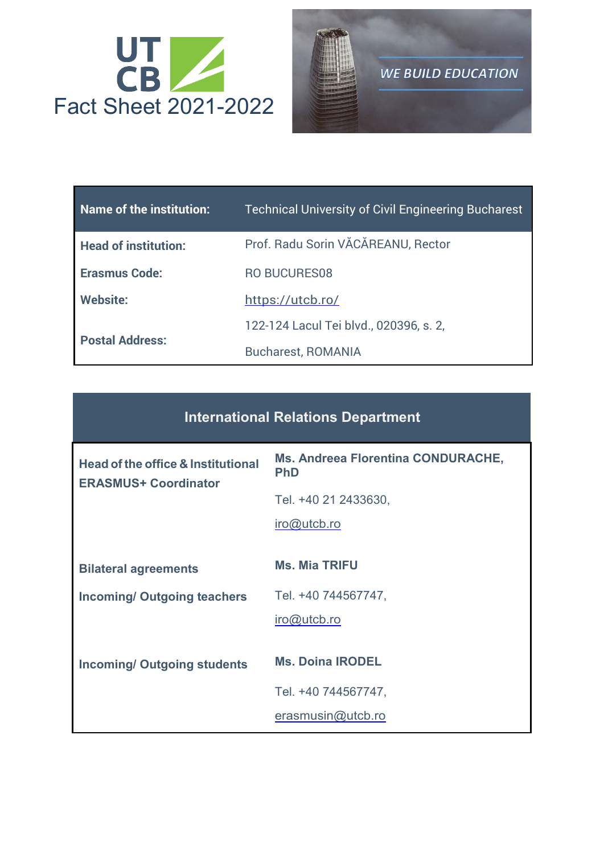



| Name of the institution:    | <b>Technical University of Civil Engineering Bucharest</b> |
|-----------------------------|------------------------------------------------------------|
| <b>Head of institution:</b> | Prof. Radu Sorin VĂCĂREANU, Rector                         |
| <b>Erasmus Code:</b>        | <b>RO BUCURES08</b>                                        |
| <b>Website:</b>             | https://utcb.ro/                                           |
|                             | 122-124 Lacul Tei blvd., 020396, s. 2,                     |
| <b>Postal Address:</b>      | <b>Bucharest, ROMANIA</b>                                  |

| <b>Head of the office &amp; Institutional</b><br><b>ERASMUS+ Coordinator</b> | <b>Ms. Andreea Florentina CONDURACHE,</b><br><b>PhD</b> |
|------------------------------------------------------------------------------|---------------------------------------------------------|
|                                                                              | Tel. +40 21 2433630,                                    |
|                                                                              | $iro@$ utcb.ro                                          |
|                                                                              |                                                         |
| <b>Bilateral agreements</b>                                                  | <b>Ms. Mia TRIFU</b>                                    |
| <b>Incoming/ Outgoing teachers</b>                                           | Tel. +40 744567747,                                     |
|                                                                              | $iro@$ utcb.ro                                          |
|                                                                              |                                                         |
| <b>Incoming/ Outgoing students</b>                                           | <b>Ms. Doina IRODEL</b>                                 |
|                                                                              | Tel. +40 744567747,                                     |
|                                                                              | erasmusin@utcb.ro                                       |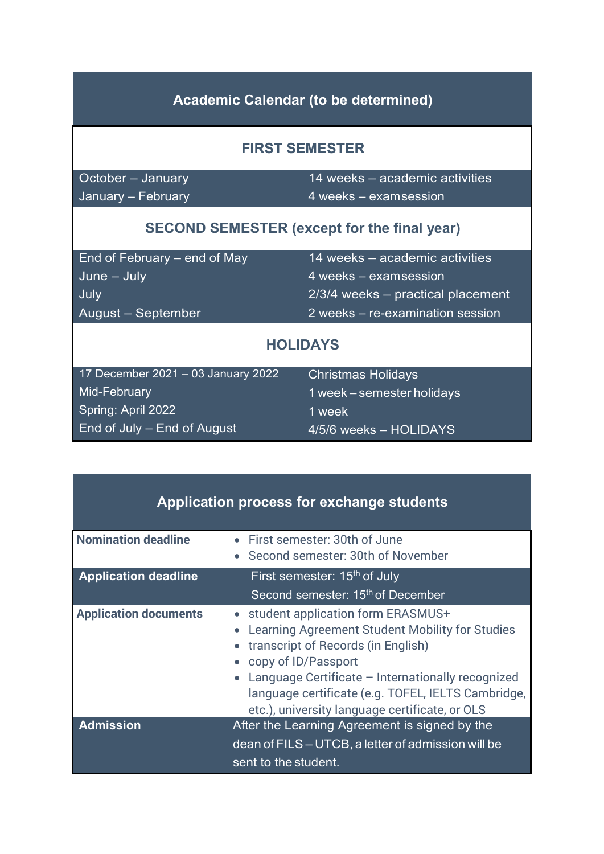| <b>Academic Calendar (to be determined)</b>        |                                     |  |  |  |
|----------------------------------------------------|-------------------------------------|--|--|--|
|                                                    | <b>FIRST SEMESTER</b>               |  |  |  |
| October - January                                  | 14 weeks - academic activities      |  |  |  |
| January - February                                 | 4 weeks - examsession               |  |  |  |
| <b>SECOND SEMESTER (except for the final year)</b> |                                     |  |  |  |
| End of February – end of May                       | 14 weeks – academic activities      |  |  |  |
| $June - July$                                      | 4 weeks – examsession               |  |  |  |
| July                                               | $2/3/4$ weeks – practical placement |  |  |  |
| August – September                                 | 2 weeks – re-examination session    |  |  |  |
| <b>HOLIDAYS</b>                                    |                                     |  |  |  |
| 17 December 2021 - 03 January 2022                 | <b>Christmas Holidays</b>           |  |  |  |
| Mid-February                                       | 1 week – semester holidays          |  |  |  |
| Spring: April 2022                                 | 1 week                              |  |  |  |
| End of July – End of August                        | 4/5/6 weeks - HOLIDAYS              |  |  |  |

| Application process for exchange students |                                                                                                                                                                                                                                                                                                                    |
|-------------------------------------------|--------------------------------------------------------------------------------------------------------------------------------------------------------------------------------------------------------------------------------------------------------------------------------------------------------------------|
| <b>Nomination deadline</b>                | • First semester: 30th of June<br>• Second semester: 30th of November                                                                                                                                                                                                                                              |
| <b>Application deadline</b>               | First semester: 15 <sup>th</sup> of July                                                                                                                                                                                                                                                                           |
|                                           | Second semester: 15 <sup>th</sup> of December                                                                                                                                                                                                                                                                      |
| <b>Application documents</b>              | • student application form ERASMUS+<br>Learning Agreement Student Mobility for Studies<br>transcript of Records (in English)<br>• copy of ID/Passport<br>Language Certificate - Internationally recognized<br>language certificate (e.g. TOFEL, IELTS Cambridge,<br>etc.), university language certificate, or OLS |
| <b>Admission</b>                          | After the Learning Agreement is signed by the<br>dean of FILS – UTCB, a letter of admission will be<br>sent to the student.                                                                                                                                                                                        |